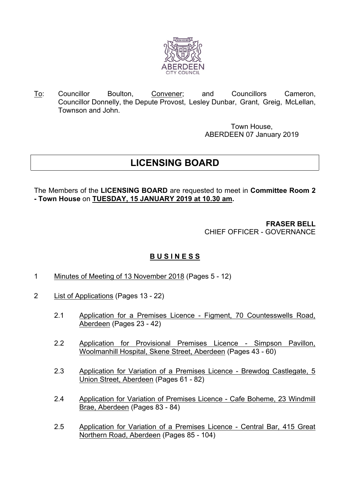

To: Councillor Boulton, Convener; and Councillors Cameron, Councillor Donnelly, the Depute Provost, Lesley Dunbar, Grant, Greig, McLellan, Townson and John.

> Town House, ABERDEEN 07 January 2019

## **LICENSING BOARD**

The Members of the **LICENSING BOARD** are requested to meet in **Committee Room 2 - Town House** on **TUESDAY, 15 JANUARY 2019 at 10.30 am.**

> **FRASER BELL** CHIEF OFFICER - GOVERNANCE

## **B U S I N E S S**

- 1 Minutes of Meeting of 13 November 2018 (Pages 5 12)
- 2 List of Applications (Pages 13 22)
	- 2.1 Application for a Premises Licence Figment, 70 Countesswells Road, Aberdeen (Pages 23 - 42)
	- 2.2 Application for Provisional Premises Licence Simpson Pavillon, Woolmanhill Hospital, Skene Street, Aberdeen (Pages 43 - 60)
	- 2.3 Application for Variation of a Premises Licence Brewdog Castlegate, 5 Union Street, Aberdeen (Pages 61 - 82)
	- 2.4 Application for Variation of Premises Licence Cafe Boheme, 23 Windmill Brae, Aberdeen (Pages 83 - 84)
	- 2.5 Application for Variation of a Premises Licence Central Bar, 415 Great Northern Road, Aberdeen (Pages 85 - 104)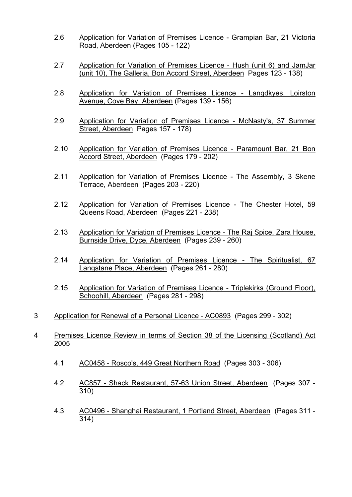- 2.6 Application for Variation of Premises Licence Grampian Bar, 21 Victoria Road, Aberdeen (Pages 105 - 122)
- 2.7 Application for Variation of Premises Licence Hush (unit 6) and JamJar (unit 10), The Galleria, Bon Accord Street, Aberdeen Pages 123 - 138)
- 2.8 Application for Variation of Premises Licence Langdkyes, Loirston Avenue, Cove Bay, Aberdeen (Pages 139 - 156)
- 2.9 Application for Variation of Premises Licence McNasty's, 37 Summer Street, Aberdeen Pages 157 - 178)
- 2.10 Application for Variation of Premises Licence Paramount Bar, 21 Bon Accord Street, Aberdeen (Pages 179 - 202)
- 2.11 Application for Variation of Premises Licence The Assembly, 3 Skene Terrace, Aberdeen (Pages 203 - 220)
- 2.12 Application for Variation of Premises Licence The Chester Hotel, 59 Queens Road, Aberdeen (Pages 221 - 238)
- 2.13 Application for Variation of Premises Licence The Raj Spice, Zara House, Burnside Drive, Dyce, Aberdeen (Pages 239 - 260)
- 2.14 Application for Variation of Premises Licence The Spiritualist, 67 Langstane Place, Aberdeen (Pages 261 - 280)
- 2.15 Application for Variation of Premises Licence Triplekirks (Ground Floor), Schoohill, Aberdeen (Pages 281 - 298)
- 3 Application for Renewal of a Personal Licence AC0893 (Pages 299 302)
- 4 Premises Licence Review in terms of Section 38 of the Licensing (Scotland) Act 2005
	- 4.1 AC0458 Rosco's, 449 Great Northern Road (Pages 303 306)
	- 4.2 AC857 Shack Restaurant, 57-63 Union Street, Aberdeen (Pages 307 310)
	- 4.3 AC0496 Shanghai Restaurant, 1 Portland Street, Aberdeen (Pages 311 314)